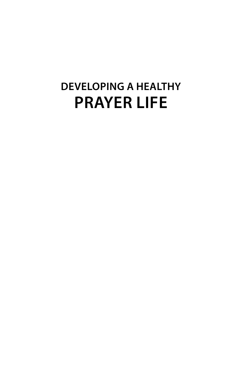## **DEVELOPING A HEALTHY PRAYER LIFE**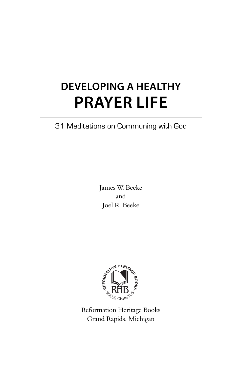# **DEVELOPING A HEALTHY PRAYER LIFE**

### 31 Meditations on Communing with God

James W. Beeke and Joel R. Beeke



Reformation Heritage Books Grand Rapids, Michigan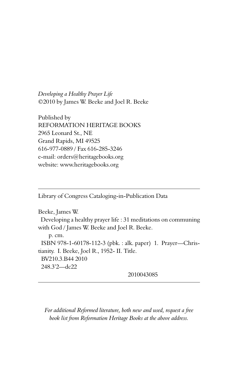*Developing a Healthy Prayer Life* ©2010 by James W. Beeke and Joel R. Beeke

Published by REFORMATION HERITAGE BOOKS 2965 Leonard St., NE Grand Rapids, MI 49525 616-977-0889 / Fax 616-285-3246 e-mail: orders@heritagebooks.org website: www.heritagebooks.org

Library of Congress Cataloging-in-Publication Data

Beeke, James W. Developing a healthy prayer life : 31 meditations on communing with God / James W. Beeke and Joel R. Beeke. p. cm. ISBN 978-1-60178-112-3 (pbk. : alk. paper) 1. Prayer—Christianity. I. Beeke, Joel R., 1952- II. Title. BV210.3.B44 2010 248.3'2—dc22

2010043085

*For additional Reformed literature, both new and used, request a free book list from Reformation Heritage Books at the above address.*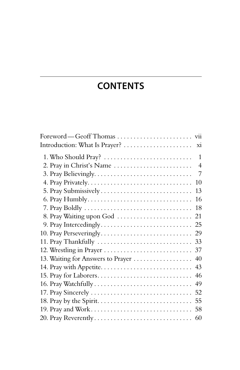## **CONTENTS**

| Introduction: What Is Prayer?     | $\overline{\mathbf{x}}$ |
|-----------------------------------|-------------------------|
|                                   | $\mathbf{1}$            |
| 2. Pray in Christ's Name          | $\overline{4}$          |
|                                   | 7                       |
|                                   | 10                      |
|                                   | 13                      |
|                                   | 16                      |
|                                   | 18                      |
| 8. Pray Waiting upon God          | 21                      |
|                                   |                         |
| 10. Pray Perseveringly            | 29                      |
| 11. Pray Thankfully               | -33                     |
| 12. Wrestling in Prayer           | 37                      |
| 13. Waiting for Answers to Prayer | 40                      |
|                                   | 43                      |
|                                   | 46                      |
|                                   | 49                      |
|                                   | 52                      |
|                                   | 55                      |
|                                   |                         |
|                                   |                         |
|                                   |                         |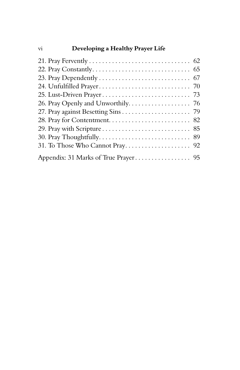| $\overline{vi}$ | Developing a Healthy Prayer Life |  |
|-----------------|----------------------------------|--|
|                 |                                  |  |
|                 |                                  |  |
|                 |                                  |  |
|                 |                                  |  |
|                 |                                  |  |
|                 |                                  |  |
|                 |                                  |  |
|                 |                                  |  |
|                 |                                  |  |
|                 |                                  |  |
|                 |                                  |  |
|                 |                                  |  |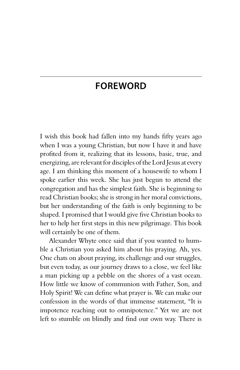## **FOREWORD**

I wish this book had fallen into my hands fifty years ago when I was a young Christian, but now I have it and have profited from it, realizing that its lessons, basic, true, and energizing, are relevant for disciples of the Lord Jesus at every age. I am thinking this moment of a housewife to whom I spoke earlier this week. She has just begun to attend the congregation and has the simplest faith. She is beginning to read Christian books; she is strong in her moral convictions, but her understanding of the faith is only beginning to be shaped. I promised that I would give five Christian books to her to help her first steps in this new pilgrimage. This book will certainly be one of them.

Alexander Whyte once said that if you wanted to humble a Christian you asked him about his praying. Ah, yes. One chats on about praying, its challenge and our struggles, but even today, as our journey draws to a close, we feel like a man picking up a pebble on the shores of a vast ocean. How little we know of communion with Father, Son, and Holy Spirit! We can define what prayer is. We can make our confession in the words of that immense statement, "It is impotence reaching out to omnipotence." Yet we are not left to stumble on blindly and find our own way. There is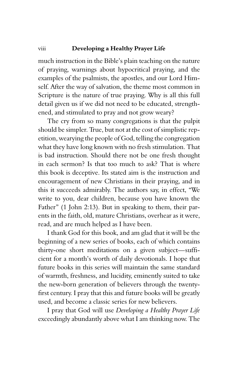#### viii **Developing a Healthy Prayer Life**

much instruction in the Bible's plain teaching on the nature of praying, warnings about hypocritical praying, and the examples of the psalmists, the apostles, and our Lord Himself. After the way of salvation, the theme most common in Scripture is the nature of true praying. Why is all this full detail given us if we did not need to be educated, strengthened, and stimulated to pray and not grow weary?

The cry from so many congregations is that the pulpit should be simpler. True, but not at the cost of simplistic repetition, wearying the people of God, telling the congregation what they have long known with no fresh stimulation. That is bad instruction. Should there not be one fresh thought in each sermon? Is that too much to ask? That is where this book is deceptive. Its stated aim is the instruction and encouragement of new Christians in their praying, and in this it succeeds admirably. The authors say, in effect, "We write to you, dear children, because you have known the Father" (1 John 2:13). But in speaking to them, their parents in the faith, old, mature Christians, overhear as it were, read, and are much helped as I have been.

I thank God for this book, and am glad that it will be the beginning of a new series of books, each of which contains thirty-one short meditations on a given subject—sufficient for a month's worth of daily devotionals. I hope that future books in this series will maintain the same standard of warmth, freshness, and lucidity, eminently suited to take the new-born generation of believers through the twentyfirst century. I pray that this and future books will be greatly used, and become a classic series for new believers.

I pray that God will use *Developing a Healthy Prayer Life*  exceedingly abundantly above what I am thinking now. The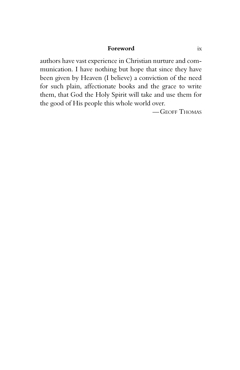#### **Foreword** ix

authors have vast experience in Christian nurture and communication. I have nothing but hope that since they have been given by Heaven (I believe) a conviction of the need for such plain, affectionate books and the grace to write them, that God the Holy Spirit will take and use them for the good of His people this whole world over.

— GEOFF THOMAS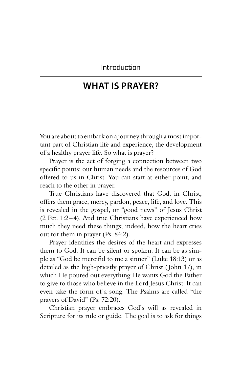Introduction

### **WHAT IS PRAYER?**

You are about to embark on a journey through a most important part of Christian life and experience, the development of a healthy prayer life. So what is prayer?

Prayer is the act of forging a connection between two specific points: our human needs and the resources of God offered to us in Christ. You can start at either point, and reach to the other in prayer.

True Christians have discovered that God, in Christ, offers them grace, mercy, pardon, peace, life, and love. This is revealed in the gospel, or "good news" of Jesus Christ  $(2$  Pet. 1:2–4). And true Christians have experienced how much they need these things; indeed, how the heart cries out for them in prayer (Ps. 84:2).

Prayer identifies the desires of the heart and expresses them to God. It can be silent or spoken. It can be as simple as "God be merciful to me a sinner" (Luke 18:13) or as detailed as the high-priestly prayer of Christ (John 17), in which He poured out everything He wants God the Father to give to those who believe in the Lord Jesus Christ. It can even take the form of a song. The Psalms are called "the prayers of David" (Ps. 72:20).

Christian prayer embraces God's will as revealed in Scripture for its rule or guide. The goal is to ask for things